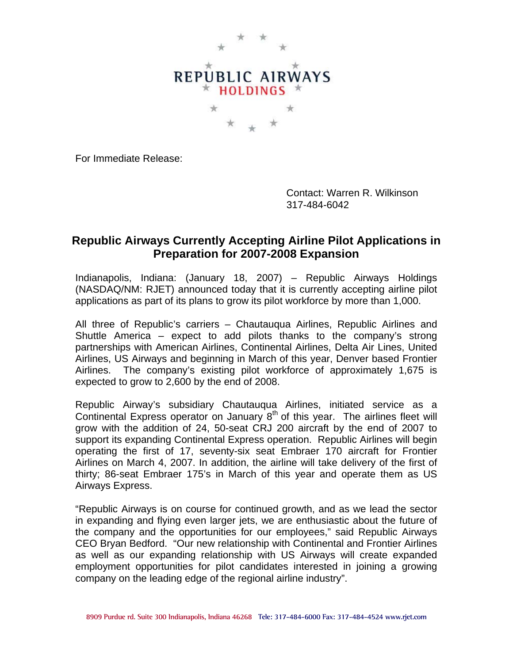

For Immediate Release:

Contact: Warren R. Wilkinson 317-484-6042

## **Republic Airways Currently Accepting Airline Pilot Applications in Preparation for 2007-2008 Expansion**

Indianapolis, Indiana: (January 18, 2007) – Republic Airways Holdings (NASDAQ/NM: RJET) announced today that it is currently accepting airline pilot applications as part of its plans to grow its pilot workforce by more than 1,000.

All three of Republic's carriers – Chautauqua Airlines, Republic Airlines and Shuttle America – expect to add pilots thanks to the company's strong partnerships with American Airlines, Continental Airlines, Delta Air Lines, United Airlines, US Airways and beginning in March of this year, Denver based Frontier Airlines. The company's existing pilot workforce of approximately 1,675 is expected to grow to 2,600 by the end of 2008.

Republic Airway's subsidiary Chautauqua Airlines, initiated service as a Continental Express operator on January  $8<sup>th</sup>$  of this year. The airlines fleet will grow with the addition of 24, 50-seat CRJ 200 aircraft by the end of 2007 to support its expanding Continental Express operation. Republic Airlines will begin operating the first of 17, seventy-six seat Embraer 170 aircraft for Frontier Airlines on March 4, 2007. In addition, the airline will take delivery of the first of thirty; 86-seat Embraer 175's in March of this year and operate them as US Airways Express.

"Republic Airways is on course for continued growth, and as we lead the sector in expanding and flying even larger jets, we are enthusiastic about the future of the company and the opportunities for our employees," said Republic Airways CEO Bryan Bedford. "Our new relationship with Continental and Frontier Airlines as well as our expanding relationship with US Airways will create expanded employment opportunities for pilot candidates interested in joining a growing company on the leading edge of the regional airline industry".